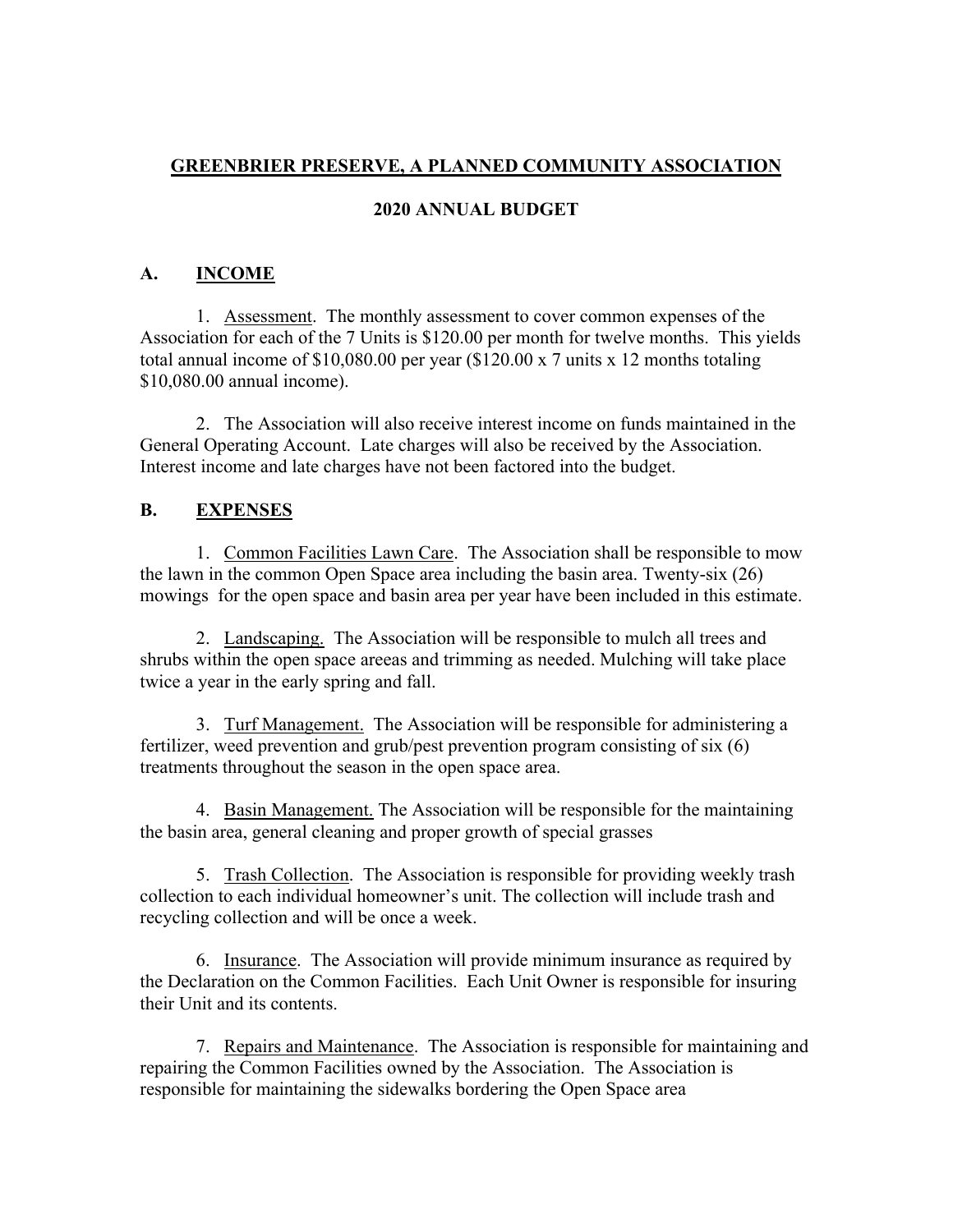# **GREENBRIER PRESERVE, A PLANNED COMMUNITY ASSOCIATION**

### **2020 ANNUAL BUDGET**

## **A. INCOME**

1. Assessment. The monthly assessment to cover common expenses of the Association for each of the 7 Units is \$120.00 per month for twelve months. This yields total annual income of \$10,080.00 per year (\$120.00 x 7 units x 12 months totaling \$10,080.00 annual income).

2. The Association will also receive interest income on funds maintained in the General Operating Account. Late charges will also be received by the Association. Interest income and late charges have not been factored into the budget.

#### **B. EXPENSES**

1. Common Facilities Lawn Care. The Association shall be responsible to mow the lawn in the common Open Space area including the basin area. Twenty-six (26) mowings for the open space and basin area per year have been included in this estimate.

2. Landscaping. The Association will be responsible to mulch all trees and shrubs within the open space areeas and trimming as needed. Mulching will take place twice a year in the early spring and fall.

3. Turf Management. The Association will be responsible for administering a fertilizer, weed prevention and grub/pest prevention program consisting of six (6) treatments throughout the season in the open space area.

4. Basin Management. The Association will be responsible for the maintaining the basin area, general cleaning and proper growth of special grasses

5. Trash Collection. The Association is responsible for providing weekly trash collection to each individual homeowner's unit. The collection will include trash and recycling collection and will be once a week.

6. Insurance. The Association will provide minimum insurance as required by the Declaration on the Common Facilities. Each Unit Owner is responsible for insuring their Unit and its contents.

7. Repairs and Maintenance. The Association is responsible for maintaining and repairing the Common Facilities owned by the Association. The Association is responsible for maintaining the sidewalks bordering the Open Space area